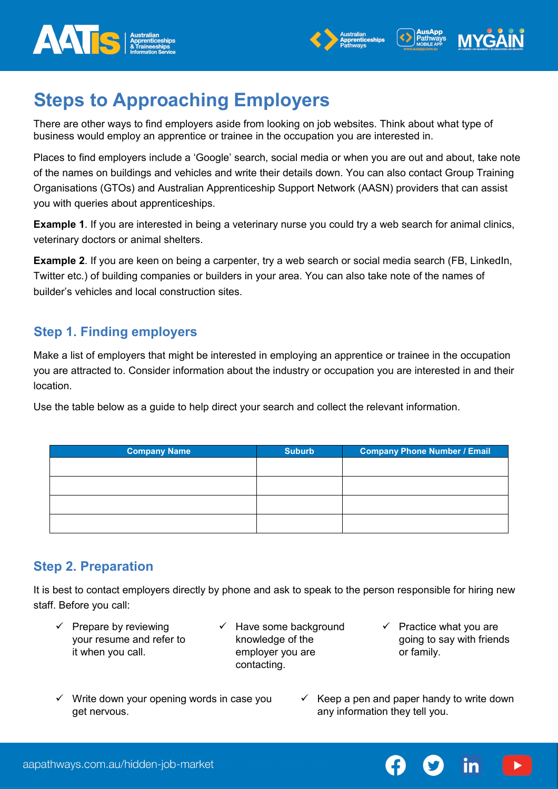





# **Steps to Approaching Employers**

There are other ways to find employers aside from looking on job websites. Think about what type of business would employ an apprentice or trainee in the occupation you are interested in.

Places to find employers include a 'Google' search, social media or when you are out and about, take note of the names on buildings and vehicles and write their details down. You can also contact Group Training Organisations (GTOs) and Australian Apprenticeship Support Network (AASN) providers that can assist you with queries about apprenticeships.

**Example 1**. If you are interested in being a veterinary nurse you could try a web search for animal clinics, veterinary doctors or animal shelters.

**Example 2**. If you are keen on being a carpenter, try a web search or social media search (FB, LinkedIn, Twitter etc.) of building companies or builders in your area. You can also take note of the names of builder's vehicles and local construction sites.

# **Step 1. Finding employers**

Make a list of employers that might be interested in employing an apprentice or trainee in the occupation you are attracted to. Consider information about the industry or occupation you are interested in and their location.

Use the table below as a guide to help direct your search and collect the relevant information.

| <b>Company Name</b> | <b>Suburb</b> | <b>Company Phone Number / Email</b> |  |
|---------------------|---------------|-------------------------------------|--|
|                     |               |                                     |  |
|                     |               |                                     |  |
|                     |               |                                     |  |
|                     |               |                                     |  |

# **Step 2. Preparation**

It is best to contact employers directly by phone and ask to speak to the person responsible for hiring new staff. Before you call:

- $\checkmark$  Prepare by reviewing your resume and refer to it when you call.
- $\checkmark$  Have some background knowledge of the employer you are contacting.
- $\checkmark$  Practice what you are going to say with friends or family.

in

- $\checkmark$  Write down your opening words in case you get nervous.
- Keep a pen and paper handy to write down any information they tell you.